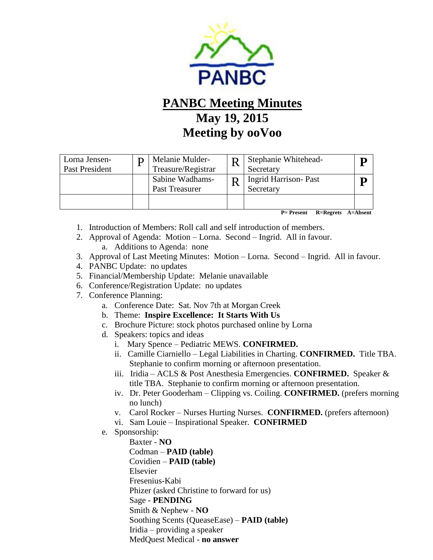

## **PANBC Meeting Minutes May 19, 2015 Meeting by ooVoo**

| Lorna Jensen-<br>Past President | Melanie Mulder-<br>Treasure/Registrar | Stephanie Whitehead-<br>Secretary        |  |
|---------------------------------|---------------------------------------|------------------------------------------|--|
|                                 | Sabine Wadhams-<br>Past Treasurer     | <b>Ingrid Harrison-Past</b><br>Secretary |  |
|                                 |                                       |                                          |  |

 **P= Present R=Regrets A=Absent**

- 1. Introduction of Members: Roll call and self introduction of members.
- 2. Approval of Agenda: Motion Lorna. Second Ingrid. All in favour.
	- a. Additions to Agenda: none
- 3. Approval of Last Meeting Minutes: Motion Lorna. Second Ingrid. All in favour.
- 4. PANBC Update: no updates
- 5. Financial/Membership Update: Melanie unavailable
- 6. Conference/Registration Update: no updates
- 7. Conference Planning:
	- a. Conference Date: Sat. Nov 7th at Morgan Creek
	- b. Theme: **Inspire Excellence: It Starts With Us**
	- c. Brochure Picture: stock photos purchased online by Lorna
	- d. Speakers: topics and ideas
		- i. Mary Spence Pediatric MEWS. **CONFIRMED.**
		- ii. Camille Ciarniello Legal Liabilities in Charting. **CONFIRMED.** Title TBA. Stephanie to confirm morning or afternoon presentation.
		- iii. Iridia ACLS & Post Anesthesia Emergencies. **CONFIRMED.** Speaker & title TBA. Stephanie to confirm morning or afternoon presentation.
		- iv. Dr. Peter Gooderham Clipping vs. Coiling. **CONFIRMED.** (prefers morning no lunch)
		- v. Carol Rocker Nurses Hurting Nurses. **CONFIRMED.** (prefers afternoon)
		- vi. Sam Louie Inspirational Speaker. **CONFIRMED**
	- e. Sponsorship:

 Baxter - **NO** Codman – **PAID (table)** Covidien – **PAID (table)** Elsevier Fresenius-Kabi Phizer (asked Christine to forward for us) Sage - **PENDING** Smith & Nephew - **NO** Soothing Scents (QueaseEase) – **PAID (table)** Iridia – providing a speaker MedQuest Medical - **no answer**